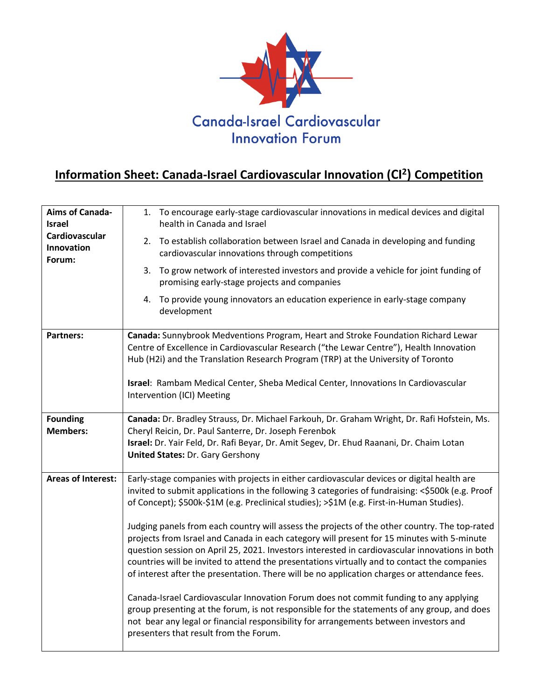

## **Information Sheet: Canada-Israel Cardiovascular Innovation (CI<sup>2</sup> ) Competition**

| <b>Aims of Canada-</b><br><b>Israel</b> | 1. To encourage early-stage cardiovascular innovations in medical devices and digital<br>health in Canada and Israel                                                                                                                                                                                                                                                                                                                                                                          |
|-----------------------------------------|-----------------------------------------------------------------------------------------------------------------------------------------------------------------------------------------------------------------------------------------------------------------------------------------------------------------------------------------------------------------------------------------------------------------------------------------------------------------------------------------------|
| Cardiovascular<br>Innovation<br>Forum:  | 2. To establish collaboration between Israel and Canada in developing and funding<br>cardiovascular innovations through competitions                                                                                                                                                                                                                                                                                                                                                          |
|                                         | 3. To grow network of interested investors and provide a vehicle for joint funding of<br>promising early-stage projects and companies                                                                                                                                                                                                                                                                                                                                                         |
|                                         | 4. To provide young innovators an education experience in early-stage company<br>development                                                                                                                                                                                                                                                                                                                                                                                                  |
| <b>Partners:</b>                        | Canada: Sunnybrook Medventions Program, Heart and Stroke Foundation Richard Lewar<br>Centre of Excellence in Cardiovascular Research ("the Lewar Centre"), Health Innovation<br>Hub (H2i) and the Translation Research Program (TRP) at the University of Toronto                                                                                                                                                                                                                             |
|                                         | Israel: Rambam Medical Center, Sheba Medical Center, Innovations In Cardiovascular<br>Intervention (ICI) Meeting                                                                                                                                                                                                                                                                                                                                                                              |
| <b>Founding</b>                         | Canada: Dr. Bradley Strauss, Dr. Michael Farkouh, Dr. Graham Wright, Dr. Rafi Hofstein, Ms.                                                                                                                                                                                                                                                                                                                                                                                                   |
| <b>Members:</b>                         | Cheryl Reicin, Dr. Paul Santerre, Dr. Joseph Ferenbok<br>Israel: Dr. Yair Feld, Dr. Rafi Beyar, Dr. Amit Segev, Dr. Ehud Raanani, Dr. Chaim Lotan<br><b>United States: Dr. Gary Gershony</b>                                                                                                                                                                                                                                                                                                  |
| <b>Areas of Interest:</b>               | Early-stage companies with projects in either cardiovascular devices or digital health are                                                                                                                                                                                                                                                                                                                                                                                                    |
|                                         | invited to submit applications in the following 3 categories of fundraising: <\$500k (e.g. Proof<br>of Concept); \$500k-\$1M (e.g. Preclinical studies); >\$1M (e.g. First-in-Human Studies).                                                                                                                                                                                                                                                                                                 |
|                                         | Judging panels from each country will assess the projects of the other country. The top-rated<br>projects from Israel and Canada in each category will present for 15 minutes with 5-minute<br>question session on April 25, 2021. Investors interested in cardiovascular innovations in both<br>countries will be invited to attend the presentations virtually and to contact the companies<br>of interest after the presentation. There will be no application charges or attendance fees. |
|                                         | Canada-Israel Cardiovascular Innovation Forum does not commit funding to any applying<br>group presenting at the forum, is not responsible for the statements of any group, and does<br>not bear any legal or financial responsibility for arrangements between investors and<br>presenters that result from the Forum.                                                                                                                                                                       |